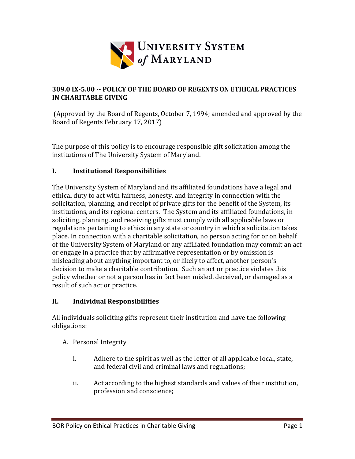

# **309.0 IX‐5.00 ‐‐ POLICY OF THE BOARD OF REGENTS ON ETHICAL PRACTICES IN CHARITABLE GIVING**

(Approved by the Board of Regents, October 7, 1994; amended and approved by the Board of Regents February 17, 2017)

The purpose of this policy is to encourage responsible gift solicitation among the institutions of The University System of Maryland.

## **I. Institutional Responsibilities**

The University System of Maryland and its affiliated foundations have a legal and ethical duty to act with fairness, honesty, and integrity in connection with the solicitation, planning, and receipt of private gifts for the benefit of the System, its institutions, and its regional centers. The System and its affiliated foundations, in soliciting, planning, and receiving gifts must comply with all applicable laws or regulations pertaining to ethics in any state or country in which a solicitation takes place. In connection with a charitable solicitation, no person acting for or on behalf of the University System of Maryland or any affiliated foundation may commit an act or engage in a practice that by affirmative representation or by omission is misleading about anything important to, or likely to affect, another person's decision to make a charitable contribution. Such an act or practice violates this policy whether or not a person has in fact been misled, deceived, or damaged as a result of such act or practice.

### **II. Individual Responsibilities**

All individuals soliciting gifts represent their institution and have the following obligations: 

- A. Personal Integrity
	- i. Adhere to the spirit as well as the letter of all applicable local, state, and federal civil and criminal laws and regulations;
	- ii. Act according to the highest standards and values of their institution, profession and conscience;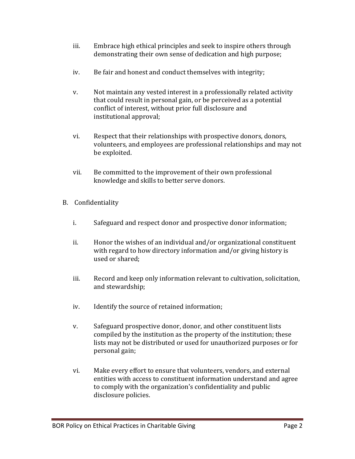- iii. Embrace high ethical principles and seek to inspire others through demonstrating their own sense of dedication and high purpose;
- iv. Be fair and honest and conduct themselves with integrity;
- v. Not maintain any vested interest in a professionally related activity that could result in personal gain, or be perceived as a potential conflict of interest, without prior full disclosure and institutional approval;
- vi. Respect that their relationships with prospective donors, donors, volunteers, and employees are professional relationships and may not be exploited.
- vii. Be committed to the improvement of their own professional knowledge and skills to better serve donors.
- B. Confidentiality
	- i. Safeguard and respect donor and prospective donor information;
	- ii. Honor the wishes of an individual and/or organizational constituent with regard to how directory information and/or giving history is used or shared;
	- iii. Record and keep only information relevant to cultivation, solicitation, and stewardship;
	- iv. Identify the source of retained information;
	- v. Safeguard prospective donor, donor, and other constituent lists compiled by the institution as the property of the institution; these lists may not be distributed or used for unauthorized purposes or for personal gain;
	- vi. Make every effort to ensure that volunteers, vendors, and external entities with access to constituent information understand and agree to comply with the organization's confidentiality and public disclosure policies.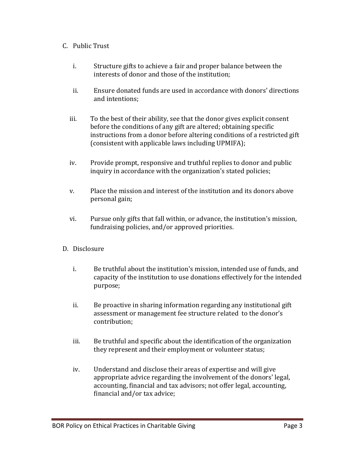### C. Public Trust

- i. Structure gifts to achieve a fair and proper balance between the interests of donor and those of the institution:
- ii. Ensure donated funds are used in accordance with donors' directions and intentions;
- iii. To the best of their ability, see that the donor gives explicit consent before the conditions of any gift are altered; obtaining specific instructions from a donor before altering conditions of a restricted gift (consistent with applicable laws including UPMIFA);
- iv. Provide prompt, responsive and truthful replies to donor and public inquiry in accordance with the organization's stated policies;
- v. Place the mission and interest of the institution and its donors above personal gain;
- vi. Pursue only gifts that fall within, or advance, the institution's mission, fundraising policies, and/or approved priorities.
- D. Disclosure
	- i. Be truthful about the institution's mission, intended use of funds, and capacity of the institution to use donations effectively for the intended purpose;
	- ii. Be proactive in sharing information regarding any institutional gift assessment or management fee structure related to the donor's contribution;
	- iii. Be truthful and specific about the identification of the organization they represent and their employment or volunteer status;
	- iv. Understand and disclose their areas of expertise and will give appropriate advice regarding the involvement of the donors' legal, accounting, financial and tax advisors; not offer legal, accounting, financial and/or tax advice;